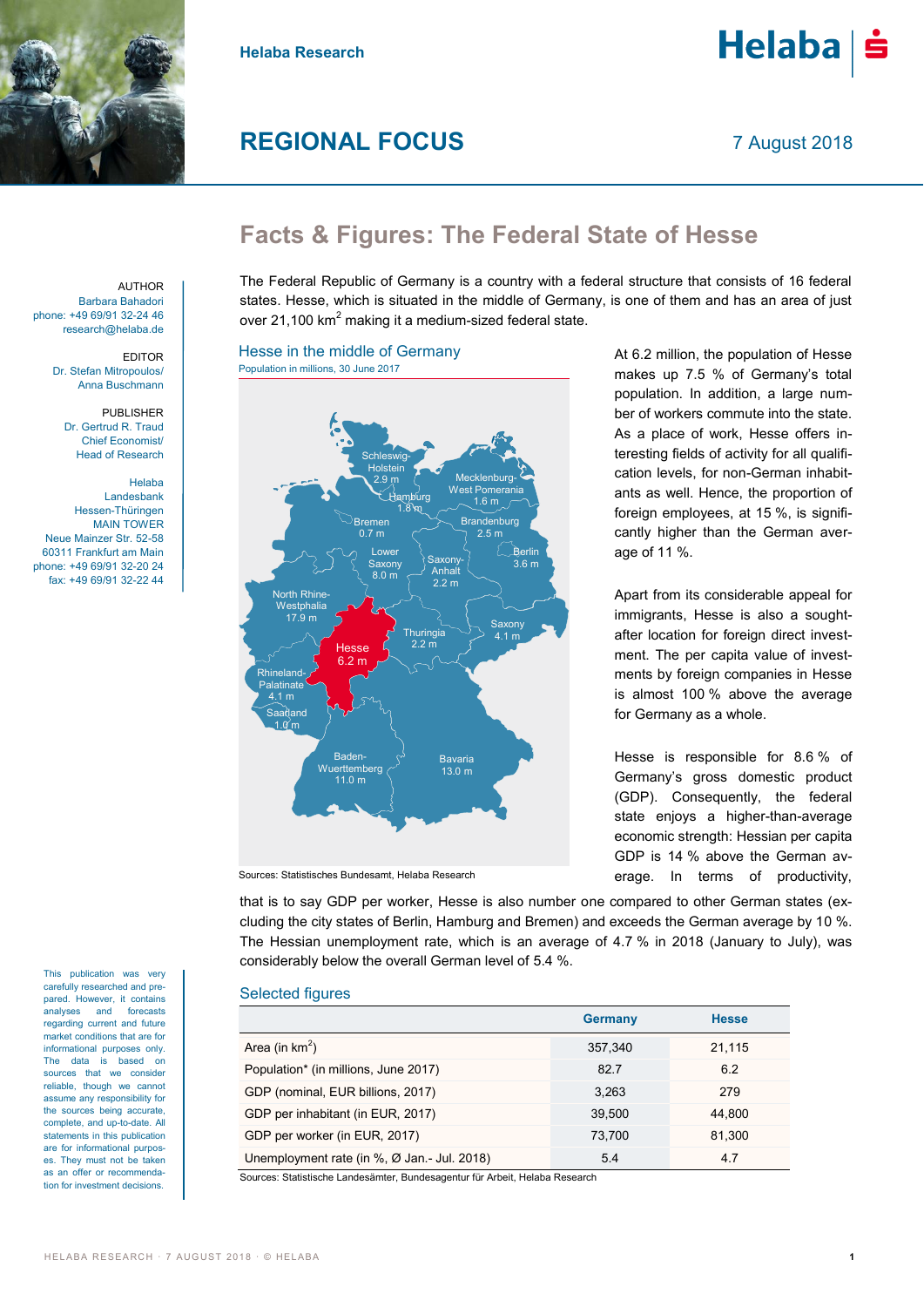

**Helaba Research**

# **REGIONAL FOCUS**

7 August 2018

# **Facts & Figures: The Federal State of Hesse**

The Federal Republic of Germany is a country with a federal structure that consists of 16 federal states. Hesse, which is situated in the middle of Germany, is one of them and has an area of just over 21,100  $km^2$  making it a medium-sized federal state.

## Hesse in the middle of Germany Population in millions, 30 June 2017



At 6.2 million, the population of Hesse makes up 7.5 % of Germany's total population. In addition, a large number of workers commute into the state. As a place of work, Hesse offers interesting fields of activity for all qualification levels, for non-German inhabitants as well. Hence, the proportion of foreign employees, at 15 %, is significantly higher than the German average of 11 %.

Apart from its considerable appeal for immigrants, Hesse is also a soughtafter location for foreign direct investment. The per capita value of investments by foreign companies in Hesse is almost 100 % above the average for Germany as a whole.

Hesse is responsible for 8.6 % of Germany's gross domestic product (GDP). Consequently, the federal state enjoys a higher-than-average economic strength: Hessian per capita GDP is 14 % above the German average. In terms of productivity,

Sources: Statistisches Bundesamt, Helaba Research

that is to say GDP per worker, Hesse is also number one compared to other German states (excluding the city states of Berlin, Hamburg and Bremen) and exceeds the German average by 10 %. The Hessian unemployment rate, which is an average of 4.7 % in 2018 (January to July), was considerably below the overall German level of 5.4 %.

## Selected figures

|                                                             | <b>Germany</b> | <b>Hesse</b> |
|-------------------------------------------------------------|----------------|--------------|
| Area (in $km^2$ )                                           | 357,340        | 21,115       |
| Population* (in millions, June 2017)                        | 82.7           | 6.2          |
| GDP (nominal, EUR billions, 2017)                           | 3.263          | 279          |
| GDP per inhabitant (in EUR, 2017)                           | 39.500         | 44.800       |
| GDP per worker (in EUR, 2017)                               | 73.700         | 81.300       |
| Unemployment rate (in $\%$ , $\varnothing$ Jan.- Jul. 2018) | 5.4            | 4.7          |

Sources: Statistische Landesämter, Bundesagentur für Arbeit, Helaba Research

**AUTHOR** Barbara Bahadori phone: +49 69/91 32-24 46 research@helaba.de

> EDITOR Dr. Stefan Mitropoulos/ Anna Buschmann

PUBLISHER Dr. Gertrud R. Traud Chief Economist/ Head of Research

Helaba Landesbank Hessen-Thüringen MAIN TOWER Neue Mainzer Str. 52-58 60311 Frankfurt am Main phone: +49 69/91 32-20 24 fax: +49 69/91 32-22 44

This publication was very carefully researched and prepared. However, it contains analyses and forecasts regarding current and future market conditions that are for informational purposes only. The data is based on sources that we consider reliable, though we cannot assume any responsibility for the sources being accurate, complete, and up-to-date. All statements in this publication are for informational purposes. They must not be taken as an offer or recommendation for investment decisions.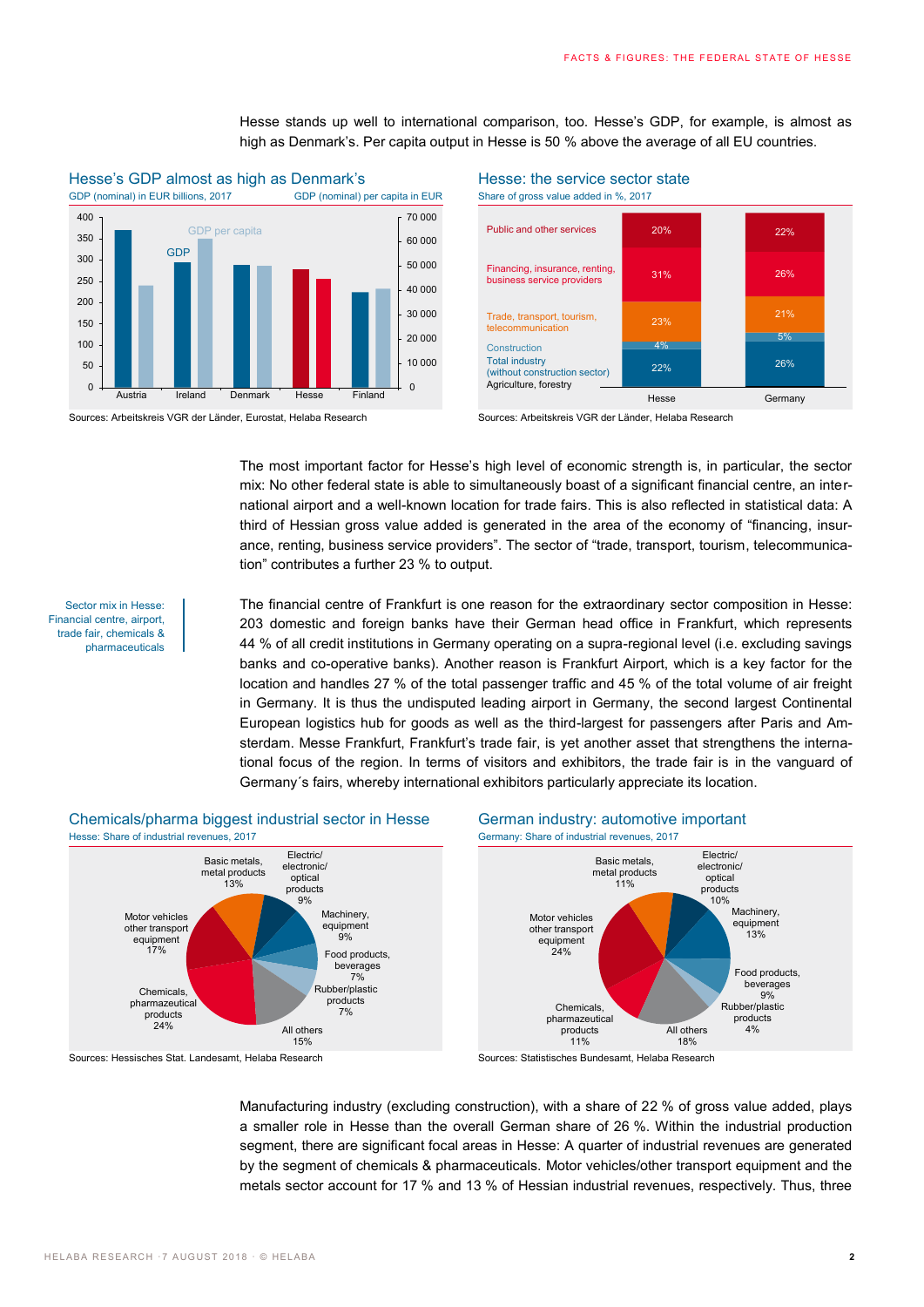Hesse stands up well to international comparison, too. Hesse's GDP, for example, is almost as high as Denmark's. Per capita output in Hesse is 50 % above the average of all EU countries.



# Hesse's GDP almost as high as Denmark's Hesse: the service sector state

Sources: Arbeitskreis VGR der Länder, Eurostat, Helaba Research Sources: Arbeitskreis VGR der Länder, Helaba Research



The most important factor for Hesse's high level of economic strength is, in particular, the sector mix: No other federal state is able to simultaneously boast of a significant financial centre, an international airport and a well-known location for trade fairs. This is also reflected in statistical data: A third of Hessian gross value added is generated in the area of the economy of "financing, insurance, renting, business service providers". The sector of "trade, transport, tourism, telecommunication" contributes a further 23 % to output.

Sector mix in Hesse: Financial centre, airport, trade fair, chemicals & pharmaceuticals The financial centre of Frankfurt is one reason for the extraordinary sector composition in Hesse: 203 domestic and foreign banks have their German head office in Frankfurt, which represents 44 % of all credit institutions in Germany operating on a supra-regional level (i.e. excluding savings banks and co-operative banks). Another reason is Frankfurt Airport, which is a key factor for the location and handles 27 % of the total passenger traffic and 45 % of the total volume of air freight in Germany. It is thus the undisputed leading airport in Germany, the second largest Continental European logistics hub for goods as well as the third-largest for passengers after Paris and Amsterdam. Messe Frankfurt, Frankfurt's trade fair, is yet another asset that strengthens the international focus of the region. In terms of visitors and exhibitors, the trade fair is in the vanguard of Germany´s fairs, whereby international exhibitors particularly appreciate its location.



Manufacturing industry (excluding construction), with a share of 22 % of gross value added, plays a smaller role in Hesse than the overall German share of 26 %. Within the industrial production segment, there are significant focal areas in Hesse: A quarter of industrial revenues are generated by the segment of chemicals & pharmaceuticals. Motor vehicles/other transport equipment and the metals sector account for 17 % and 13 % of Hessian industrial revenues, respectively. Thus, three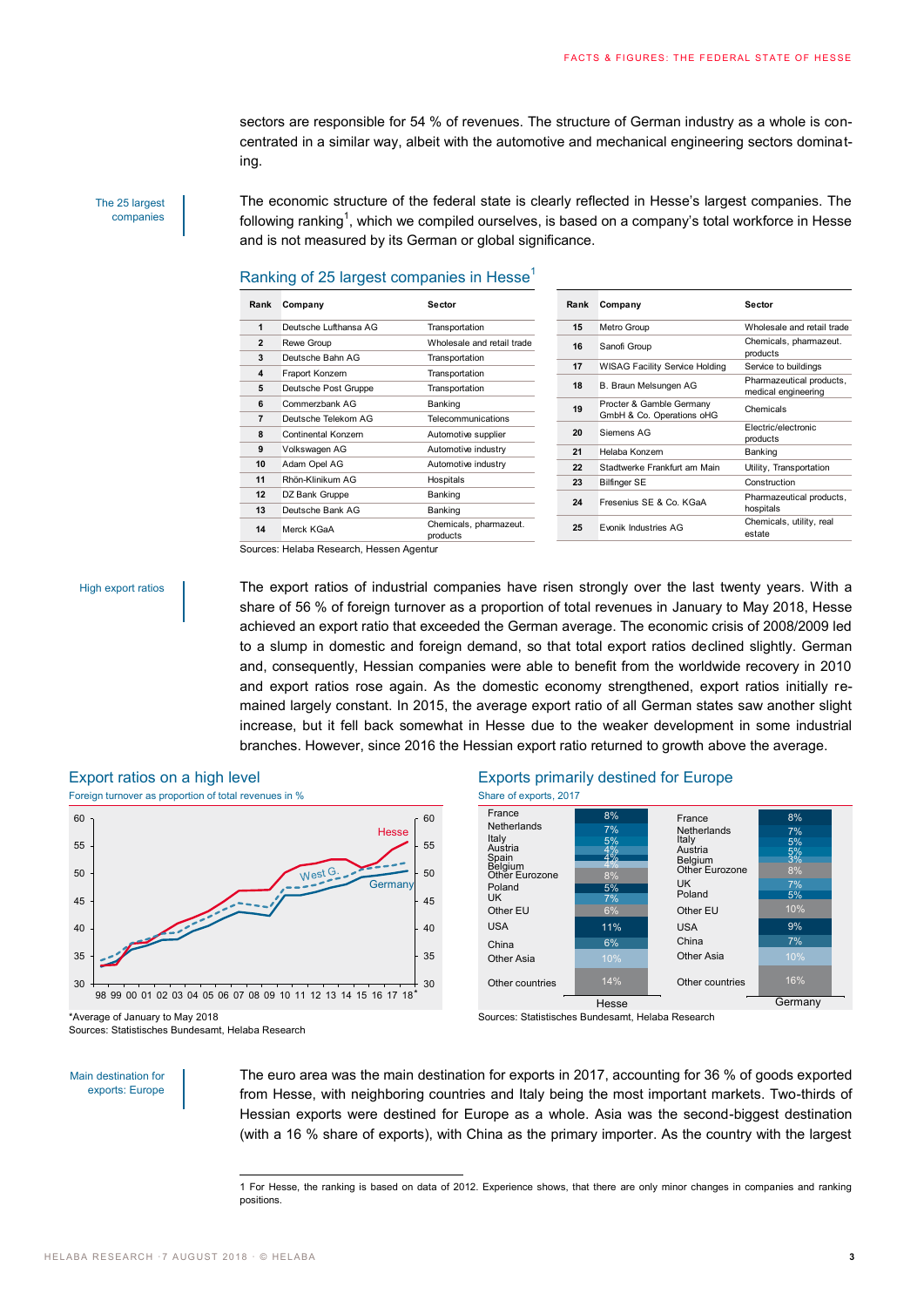sectors are responsible for 54 % of revenues. The structure of German industry as a whole is concentrated in a similar way, albeit with the automotive and mechanical engineering sectors dominating.

The 25 largest companies

The economic structure of the federal state is clearly reflected in Hesse's largest companies. The following ranking<sup>1</sup>, which we compiled ourselves, is based on a company's total workforce in Hesse and is not measured by its German or global significance.

# Ranking of 25 largest companies in Hesse<sup>1</sup>

| Rank           | Company               | Sector                             | Rank | Company                                               | Sector                                          |
|----------------|-----------------------|------------------------------------|------|-------------------------------------------------------|-------------------------------------------------|
| 1              | Deutsche Lufthansa AG | Transportation                     | 15   | Metro Group                                           | Wholesale and retail trade                      |
| $\overline{2}$ | Rewe Group            | Wholesale and retail trade         | 16   | Sanofi Group                                          | Chemicals, pharmazeut.                          |
| 3              | Deutsche Bahn AG      | Transportation                     |      |                                                       | products                                        |
| 4              | Fraport Konzern       | Transportation                     | 17   | <b>WISAG Facility Service Holding</b>                 | Service to buildings                            |
| 5              | Deutsche Post Gruppe  | Transportation                     | 18   | B. Braun Melsungen AG                                 | Pharmazeutical products,<br>medical engineering |
| 6              | Commerzbank AG        | Banking                            | 19   | Procter & Gamble Germany<br>GmbH & Co. Operations oHG | Chemicals                                       |
| $\overline{7}$ | Deutsche Telekom AG   | Telecommunications                 |      |                                                       |                                                 |
| 8              | Continental Konzern   | Automotive supplier                | 20   | Siemens AG                                            | Electric/electronic<br>products                 |
| 9              | Volkswagen AG         | Automotive industry                | 21   | Helaba Konzern                                        | Banking                                         |
| 10             | Adam Opel AG          | Automotive industry                | 22   | Stadtwerke Frankfurt am Main                          | Utility, Transportation                         |
| 11             | Rhön-Klinikum AG      | Hospitals                          | 23   | <b>Bilfinger SE</b>                                   | Construction                                    |
| 12             | DZ Bank Gruppe        | Banking                            | 24   | Fresenius SE & Co. KGaA                               | Pharmazeutical products,<br>hospitals           |
| 13             | Deutsche Bank AG      | Banking                            |      |                                                       |                                                 |
| 14             | Merck KGaA            | Chemicals, pharmazeut.<br>products | 25   | Evonik Industries AG                                  | Chemicals, utility, real<br>estate              |

Sources: Helaba Research, Hessen Agentur

### High export ratios

The export ratios of industrial companies have risen strongly over the last twenty years. With a share of 56 % of foreign turnover as a proportion of total revenues in January to May 2018, Hesse achieved an export ratio that exceeded the German average. The economic crisis of 2008/2009 led to a slump in domestic and foreign demand, so that total export ratios declined slightly. German and, consequently, Hessian companies were able to benefit from the worldwide recovery in 2010 and export ratios rose again. As the domestic economy strengthened, export ratios initially remained largely constant. In 2015, the average export ratio of all German states saw another slight increase, but it fell back somewhat in Hesse due to the weaker development in some industrial branches. However, since 2016 the Hessian export ratio returned to growth above the average.



-

Sources: Statistisches Bundesamt, Helaba Research



Sources: Statistisches Bundesamt, Helaba Research

Main destination for exports: Europe The euro area was the main destination for exports in 2017, accounting for 36 % of goods exported from Hesse, with neighboring countries and Italy being the most important markets. Two-thirds of Hessian exports were destined for Europe as a whole. Asia was the second-biggest destination (with a 16 % share of exports), with China as the primary importer. As the country with the largest

<sup>1</sup> For Hesse, the ranking is based on data of 2012. Experience shows, that there are only minor changes in companies and ranking positions.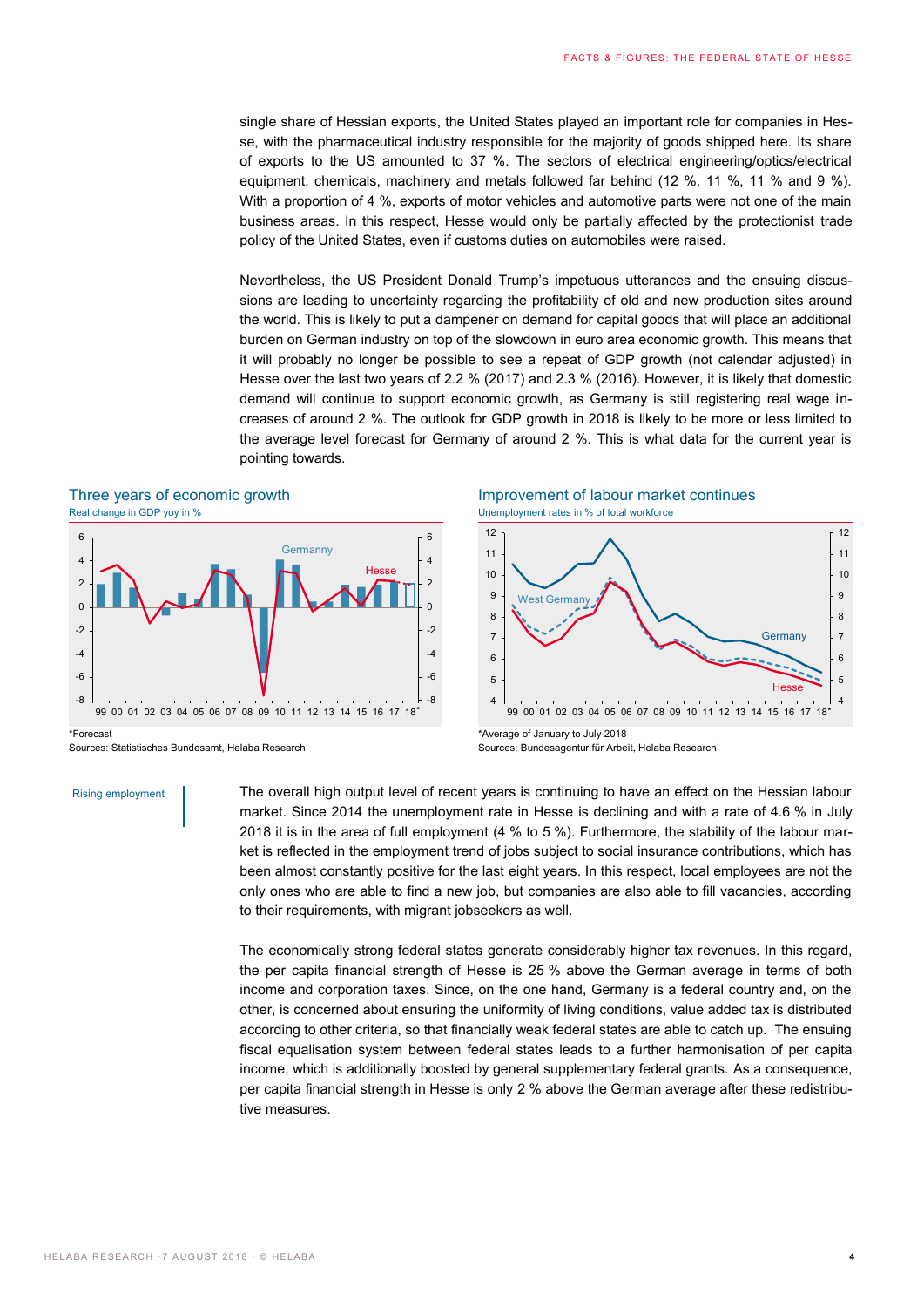single share of Hessian exports, the United States played an important role for companies in Hesse, with the pharmaceutical industry responsible for the majority of goods shipped here. Its share of exports to the US amounted to 37 %. The sectors of electrical engineering/optics/electrical equipment, chemicals, machinery and metals followed far behind (12 %, 11 %, 11 % and 9 %). With a proportion of 4 %, exports of motor vehicles and automotive parts were not one of the main business areas. In this respect, Hesse would only be partially affected by the protectionist trade policy of the United States, even if customs duties on automobiles were raised.

Nevertheless, the US President Donald Trump's impetuous utterances and the ensuing discussions are leading to uncertainty regarding the profitability of old and new production sites around the world. This is likely to put a dampener on demand for capital goods that will place an additional burden on German industry on top of the slowdown in euro area economic growth. This means that it will probably no longer be possible to see a repeat of GDP growth (not calendar adjusted) in Hesse over the last two years of 2.2 % (2017) and 2.3 % (2016). However, it is likely that domestic demand will continue to support economic growth, as Germany is still registering real wage increases of around 2 %. The outlook for GDP growth in 2018 is likely to be more or less limited to the average level forecast for Germany of around 2 %. This is what data for the current year is pointing towards.

## Three years of economic growth **Improvement of labour market continues** Real change in GDP yoy in % Unemployment rates in % of total workforce



\*Forecast Sources: Statistisches Bundesamt, Helaba Research

### Rising employment



\*Average of January to July 2018 Sources: Bundesagentur für Arbeit, Helaba Research

The overall high output level of recent years is continuing to have an effect on the Hessian labour market. Since 2014 the unemployment rate in Hesse is declining and with a rate of 4.6 % in July 2018 it is in the area of full employment (4 % to 5 %). Furthermore, the stability of the labour market is reflected in the employment trend of jobs subject to social insurance contributions, which has been almost constantly positive for the last eight years. In this respect, local employees are not the only ones who are able to find a new job, but companies are also able to fill vacancies, according to their requirements, with migrant jobseekers as well.

The economically strong federal states generate considerably higher tax revenues. In this regard, the per capita financial strength of Hesse is 25 % above the German average in terms of both income and corporation taxes. Since, on the one hand, Germany is a federal country and, on the other, is concerned about ensuring the uniformity of living conditions, value added tax is distributed according to other criteria, so that financially weak federal states are able to catch up. The ensuing fiscal equalisation system between federal states leads to a further harmonisation of per capita income, which is additionally boosted by general supplementary federal grants. As a consequence, per capita financial strength in Hesse is only 2 % above the German average after these redistributive measures.